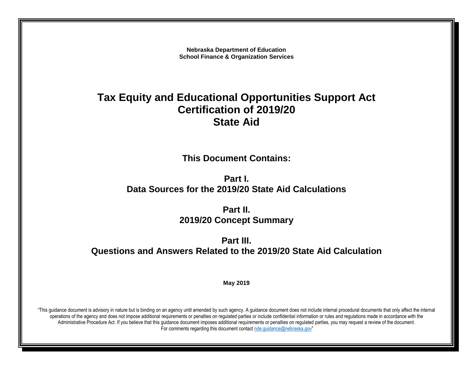**Nebraska Department of Education School Finance & Organization Services**

# **Tax Equity and Educational Opportunities Support Act Certification of 2019/20 State Aid**

**This Document Contains:**

**Part I. Data Sources for the 2019/20 State Aid Calculations**

> **Part II. 2019/20 Concept Summary**

**Part III. Questions and Answers Related to the 2019/20 State Aid Calculation**

**May 2019**

"This guidance document is advisory in nature but is binding on an agency until amended by such agency. A guidance document does not include internal procedural documents that only affect the internal operations of the agency and does not impose additional requirements or penalties on regulated parties or include confidential information or rules and regulations made in accordance with the Administrative Procedure Act. If you believe that this guidance document imposes additional requirements or penalties on regulated parties, you may request a review of the document. For comments regarding this document contact [nde.guidance@nebraska.gov](mailto:nde.guidance@nebraska.gov)"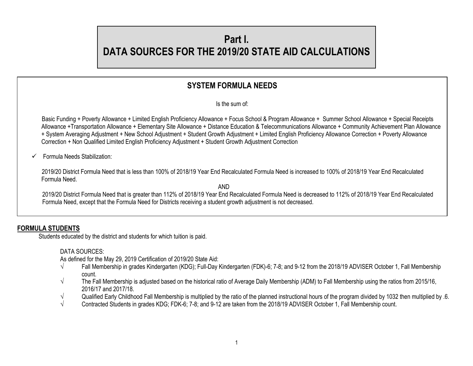# **Part I. DATA SOURCES FOR THE 2019/20 STATE AID CALCULATIONS**

# **SYSTEM FORMULA NEEDS**

Is the sum of:

 Basic Funding + Poverty Allowance + Limited English Proficiency Allowance + Focus School & Program Allowance + Summer School Allowance + Special Receipts Allowance +Transportation Allowance + Elementary Site Allowance + Distance Education & Telecommunications Allowance + Community Achievement Plan Allowance + System Averaging Adjustment + New School Adjustment + Student Growth Adjustment + Limited English Proficiency Allowance Correction + Poverty Allowance Correction + Non Qualified Limited English Proficiency Adjustment + Student Growth Adjustment Correction

 $\checkmark$  Formula Needs Stabilization:

 2019/20 District Formula Need that is less than 100% of 2018/19 Year End Recalculated Formula Need is increased to 100% of 2018/19 Year End Recalculated Formula Need.

AND

2019/20 District Formula Need that is greater than 112% of 2018/19 Year End Recalculated Formula Need is decreased to 112% of 2018/19 Year End Recalculated Formula Need, except that the Formula Need for Districts receiving a student growth adjustment is not decreased.

# **FORMULA STUDENTS**

Students educated by the district and students for which tuition is paid.

DATA SOURCES:

As defined for the May 29, 2019 Certification of 2019/20 State Aid:

- √ Fall Membership in grades Kindergarten (KDG); Full-Day Kindergarten (FDK)-6; 7-8; and 9-12 from the 2018/19 ADVISER October 1, Fall Membership count.
- $\sqrt{ }$  The Fall Membership is adjusted based on the historical ratio of Average Daily Membership (ADM) to Fall Membership using the ratios from 2015/16, 2016/17 and 2017/18.
- √ Qualified Early Childhood Fall Membership is multiplied by the ratio of the planned instructional hours of the program divided by 1032 then multiplied by .6.<br>Contracted Students in grades KDG: FDK-6: 7-8: and 9-12 are t
- √ Contracted Students in grades KDG; FDK-6; 7-8; and 9-12 are taken from the 2018/19 ADVISER October 1, Fall Membership count.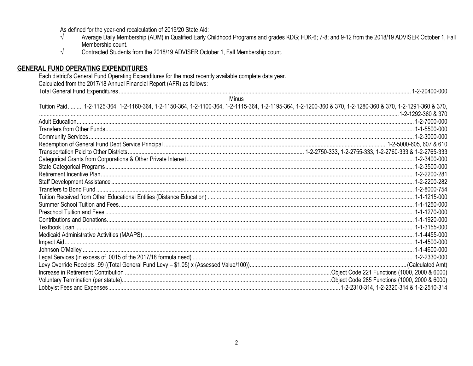As defined for the year-end recalculation of 2019/20 State Aid:

- Average Daily Membership (ADM) in Qualified Early Childhood Programs and grades KDG; FDK-6; 7-8; and 9-12 from the 2018/19 ADVISER October 1, Fall  $\sqrt{ }$ Membership count.
- $\sqrt{ }$ Contracted Students from the 2018/19 ADVISER October 1, Fall Membership count.

## **GENERAL FUND OPERATING EXPENDITURES**

| Each district's General Fund Operating Expenditures for the most recently available complete data year.                                                      |  |  |
|--------------------------------------------------------------------------------------------------------------------------------------------------------------|--|--|
| Calculated from the 2017/18 Annual Financial Report (AFR) as follows:                                                                                        |  |  |
|                                                                                                                                                              |  |  |
| Minus                                                                                                                                                        |  |  |
| Tuition Paid 1-2-1125-364, 1-2-1160-364, 1-2-1150-364, 1-2-1100-364, 1-2-1115-364, 1-2-1195-364, 1-2-1200-360 & 370, 1-2-1280-360 & 370, 1-2-1291-360 & 370, |  |  |
|                                                                                                                                                              |  |  |
|                                                                                                                                                              |  |  |
|                                                                                                                                                              |  |  |
|                                                                                                                                                              |  |  |
|                                                                                                                                                              |  |  |
|                                                                                                                                                              |  |  |
|                                                                                                                                                              |  |  |
|                                                                                                                                                              |  |  |
|                                                                                                                                                              |  |  |
|                                                                                                                                                              |  |  |
|                                                                                                                                                              |  |  |
|                                                                                                                                                              |  |  |
|                                                                                                                                                              |  |  |
|                                                                                                                                                              |  |  |
|                                                                                                                                                              |  |  |
|                                                                                                                                                              |  |  |
|                                                                                                                                                              |  |  |
|                                                                                                                                                              |  |  |
|                                                                                                                                                              |  |  |
|                                                                                                                                                              |  |  |
|                                                                                                                                                              |  |  |
|                                                                                                                                                              |  |  |
|                                                                                                                                                              |  |  |
|                                                                                                                                                              |  |  |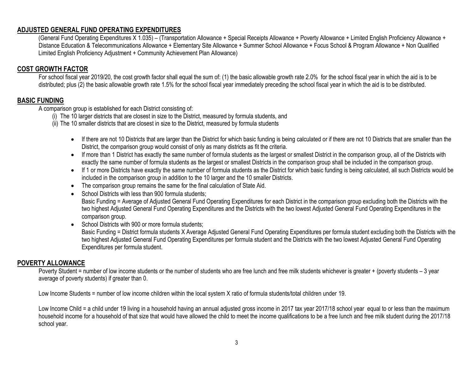# **ADJUSTED GENERAL FUND OPERATING EXPENDITURES**

(General Fund Operating Expenditures X 1.035) – (Transportation Allowance + Special Receipts Allowance + Poverty Allowance + Limited English Proficiency Allowance + Distance Education & Telecommunications Allowance + Elementary Site Allowance + Summer School Allowance + Focus School & Program Allowance + Non Qualified Limited English Proficiency Adjustment + Community Achievement Plan Allowance)

# **COST GROWTH FACTOR**

For school fiscal year 2019/20, the cost growth factor shall equal the sum of: (1) the basic allowable growth rate 2.0% for the school fiscal year in which the aid is to be distributed; plus (2) the basic allowable growth rate 1.5% for the school fiscal year immediately preceding the school fiscal year in which the aid is to be distributed.

## **BASIC FUNDING**

A comparison group is established for each District consisting of:

- (i) The 10 larger districts that are closest in size to the District, measured by formula students, and
- (ii) The 10 smaller districts that are closest in size to the District, measured by formula students
	- If there are not 10 Districts that are larger than the District for which basic funding is being calculated or if there are not 10 Districts that are smaller than the District, the comparison group would consist of only as many districts as fit the criteria.
	- If more than 1 District has exactly the same number of formula students as the largest or smallest District in the comparison group, all of the Districts with exactly the same number of formula students as the largest or smallest Districts in the comparison group shall be included in the comparison group.
	- If 1 or more Districts have exactly the same number of formula students as the District for which basic funding is being calculated, all such Districts would be included in the comparison group in addition to the 10 larger and the 10 smaller Districts.
	- The comparison group remains the same for the final calculation of State Aid.
	- School Districts with less than 900 formula students:

Basic Funding = Average of Adjusted General Fund Operating Expenditures for each District in the comparison group excluding both the Districts with the two highest Adjusted General Fund Operating Expenditures and the Districts with the two lowest Adjusted General Fund Operating Expenditures in the comparison group.

• School Districts with 900 or more formula students: Basic Funding = District formula students X Average Adjusted General Fund Operating Expenditures per formula student excluding both the Districts with the two highest Adjusted General Fund Operating Expenditures per formula student and the Districts with the two lowest Adjusted General Fund Operating Expenditures per formula student.

#### **POVERTY ALLOWANCE**

Poverty Student = number of low income students or the number of students who are free lunch and free milk students whichever is greater + (poverty students – 3 year average of poverty students) if greater than 0.

Low Income Students = number of low income children within the local system X ratio of formula students/total children under 19.

Low Income Child = a child under 19 living in a household having an annual adjusted gross income in 2017 tax year 2017/18 school year equal to or less than the maximum household income for a household of that size that would have allowed the child to meet the income qualifications to be a free lunch and free milk student during the 2017/18 school year.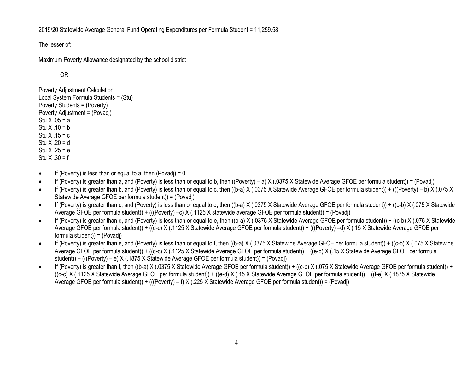2019/20 Statewide Average General Fund Operating Expenditures per Formula Student = 11,259.58

The lesser of:

Maximum Poverty Allowance designated by the school district

OR

Poverty Adjustment Calculation Local System Formula Students = (Stu) Poverty Students = (Poverty) Poverty Adjustment = (Povadj) Stu  $X .05 = a$ Stu  $X .10 = b$ Stu  $X$  .15 = c Stu  $X .20 = d$ Stu  $X .25 = e$ Stu  $X .30 = f$ 

- $\bullet$  If (Poverty) is less than or equal to a, then (Povadj) = 0
- $\bullet$  If (Poverty) is greater than a, and (Poverty) is less than or equal to b, then ((Poverty) a) X (.0375 X Statewide Average GFOE per formula student)) = (Povadj)
- If (Poverty) is greater than b, and (Poverty) is less than or equal to c, then ((b-a) X (.0375 X Statewide Average GFOE per formula student)) + (((Poverty) b) X (.075 X Statewide Average GFOE per formula student)) = (Povadj)
- If (Poverty) is greater than c, and (Poverty) is less than or equal to d, then ((b-a) X (.0375 X Statewide Average GFOE per formula student)) + ((c-b) X (.075 X Statewide Average GFOE per formula student)) + (((Poverty) –c) X (.1125 X statewide average GFOE per formula student)) = (Povadj)
- If (Poverty) is greater than d, and (Poverty) is less than or equal to e, then ((b-a) X (.0375 X Statewide Average GFOE per formula student)) + ((c-b) X (.075 X Statewide Average GFOE per formula student)) + ((d-c) X (.1125 X Statewide Average GFOE per formula student)) + (((Poverty) –d) X (.15 X Statewide Average GFOE per formula student)) = (Povadj)
- If (Poverty) is greater than e, and (Poverty) is less than or equal to f, then ((b-a) X (.0375 X Statewide Average GFOE per formula student)) + ((c-b) X (.075 X Statewide Average GFOE per formula student)) + ((d-c) X (.1125 X Statewide Average GFOE per formula student)) + ((e-d) X (.15 X Statewide Average GFOE per formula student)) + (((Poverty) – e) X (.1875 X Statewide Average GFOE per formula student)) = (Povadj)
- If (Poverty) is greater than f, then ((b-a) X (.0375 X Statewide Average GFOE per formula student)) + ((c-b) X (.075 X Statewide Average GFOE per formula student)) + ((d-c) X (.1125 X Statewide Average GFOE per formula student)) + ((e-d) X (.15 X Statewide Average GFOE per formula student)) + ((f-e) X (.1875 X Statewide Average GFOE per formula student)) + (((Poverty) – f) X (.225 X Statewide Average GFOE per formula student)) = (Povadj)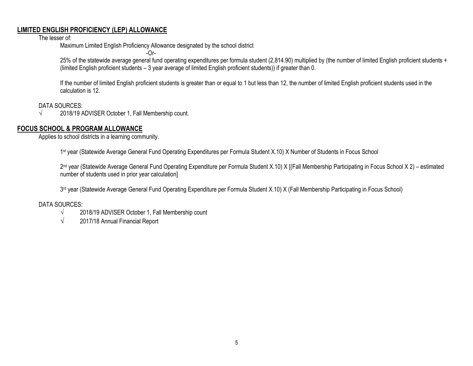## **LIMITED ENGLISH PROFICIENCY (LEP) ALLOWANCE**

The lesser of:

Maximum Limited English Proficiency Allowance designated by the school district

-Or-

25% of the statewide average general fund operating expenditures per formula student (2,814.90) multiplied by (the number of limited English proficient students + (limited English proficient students – 3 year average of limited English proficient students)) if greater than 0.

If the number of limited English proficient students is greater than or equal to 1 but less than 12, the number of limited English proficient students used in the calculation is 12.

DATA SOURCES:

 $\sqrt{2018/19}$  ADVISER October 1, Fall Membership count.

# **FOCUS SCHOOL & PROGRAM ALLOWANCE**

Applies to school districts in a learning community.

1 st year (Statewide Average General Fund Operating Expenditures per Formula Student X.10) X Number of Students in Focus School

2<sup>nd</sup> year (Statewide Average General Fund Operating Expenditure per Formula Student X.10) X [(Fall Membership Participating in Focus School X 2) – estimated number of students used in prior year calculation]

3<sup>rd</sup> year (Statewide Average General Fund Operating Expenditure per Formula Student X.10) X (Fall Membership Participating in Focus School)

DATA SOURCES:

- $\sqrt{2018/19}$  ADVISER October 1, Fall Membership count
- $\sqrt{2017/18}$  Annual Financial Report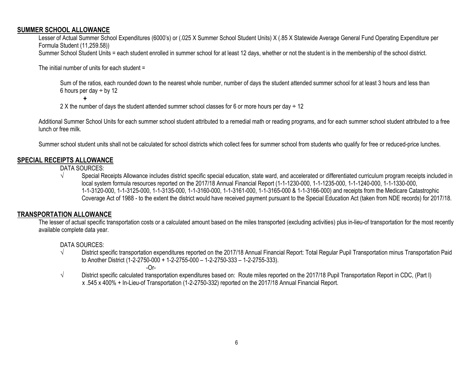#### **SUMMER SCHOOL ALLOWANCE**

Lesser of Actual Summer School Expenditures (6000's) or (.025 X Summer School Student Units) X (.85 X Statewide Average General Fund Operating Expenditure per Formula Student (11,259.58)) Summer School Student Units = each student enrolled in summer school for at least 12 days, whether or not the student is in the membership of the school district.

The initial number of units for each student =

Sum of the ratios, each rounded down to the nearest whole number, number of days the student attended summer school for at least 3 hours and less than 6 hours per day  $\div$  by 12

**+**

2 X the number of days the student attended summer school classes for 6 or more hours per day  $\div$  12

Additional Summer School Units for each summer school student attributed to a remedial math or reading programs, and for each summer school student attributed to a free lunch or free milk.

Summer school student units shall not be calculated for school districts which collect fees for summer school from students who qualify for free or reduced-price lunches.

# **SPECIAL RECEIPTS ALLOWANCE**

DATA SOURCES:

√ Special Receipts Allowance includes district specific special education, state ward, and accelerated or differentiated curriculum program receipts included in local system formula resources reported on the 2017/18 Annual Financial Report (1-1-1230-000, 1-1-1235-000, 1-1-1240-000, 1-1-1330-000, 1-1-3120-000, 1-1-3125-000, 1-1-3135-000, 1-1-3160-000, 1-1-3161-000, 1-1-3165-000 & 1-1-3166-000) and receipts from the Medicare Catastrophic Coverage Act of 1988 - to the extent the district would have received payment pursuant to the Special Education Act (taken from NDE records) for 2017/18.

# **TRANSPORTATION ALLOWANCE**

The lesser of actual specific transportation costs or a calculated amount based on the miles transported (excluding activities) plus in-lieu-of transportation for the most recently available complete data year.

DATA SOURCES:

- √ District specific transportation expenditures reported on the 2017/18 Annual Financial Report: Total Regular Pupil Transportation minus Transportation Paid to Another District (1-2-2750-000 + 1-2-2755-000 – 1-2-2750-333 – 1-2-2755-333).
	- -Or-
- √ District specific calculated transportation expenditures based on: Route miles reported on the 2017/18 Pupil Transportation Report in CDC, (Part I) x .545 x 400% + In-Lieu-of Transportation (1-2-2750-332) reported on the 2017/18 Annual Financial Report.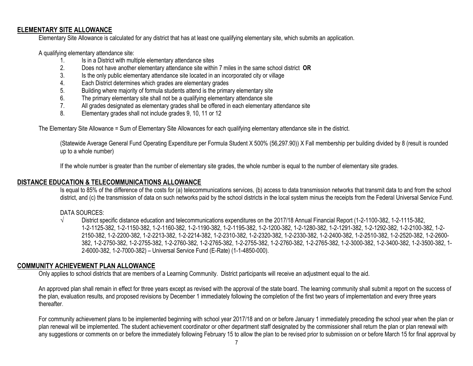#### **ELEMENTARY SITE ALLOWANCE**

Elementary Site Allowance is calculated for any district that has at least one qualifying elementary site, which submits an application.

A qualifying elementary attendance site:

- 1. Is in a District with multiple elementary attendance sites
- 2. Does not have another elementary attendance site within 7 miles in the same school district **OR**
- 3. Is the only public elementary attendance site located in an incorporated city or village
- 4. Each District determines which grades are elementary grades
- 5. Building where majority of formula students attend is the primary elementary site<br>6. The primary elementary site shall not be a qualifying elementary attendance site
- The primary elementary site shall not be a qualifying elementary attendance site
- 7. All grades designated as elementary grades shall be offered in each elementary attendance site
- 8. Elementary grades shall not include grades 9, 10, 11 or 12

The Elementary Site Allowance = Sum of Elementary Site Allowances for each qualifying elementary attendance site in the district.

(Statewide Average General Fund Operating Expenditure per Formula Student X 500% (56,297.90)) X Fall membership per building divided by 8 (result is rounded up to a whole number)

If the whole number is greater than the number of elementary site grades, the whole number is equal to the number of elementary site grades.

#### **DISTANCE EDUCATION & TELECOMMUNICATIONS ALLOWANCE**

Is equal to 85% of the difference of the costs for (a) telecommunications services, (b) access to data transmission networks that transmit data to and from the school district, and (c) the transmission of data on such networks paid by the school districts in the local system minus the receipts from the Federal Universal Service Fund.

#### DATA SOURCES:

√ District specific distance education and telecommunications expenditures on the 2017/18 Annual Financial Report (1-2-1100-382, 1-2-1115-382, 1-2-1125-382, 1-2-1150-382, 1-2-1160-382, 1-2-1190-382, 1-2-1195-382, 1-2-1200-382, 1-2-1280-382, 1-2-1291-382, 1-2-1292-382, 1-2-2100-382, 1-2- 2150-382, 1-2-2200-382, 1-2-2213-382, 1-2-2214-382, 1-2-2310-382, 1-2-2320-382, 1-2-2330-382, 1-2-2400-382, 1-2-2510-382, 1-2-2520-382, 1-2-2600- 382, 1-2-2750-382, 1-2-2755-382, 1-2-2760-382, 1-2-2765-382, 1-2-2755-382, 1-2-2760-382, 1-2-2765-382, 1-2-3000-382, 1-2-3400-382, 1-2-3500-382, 1- 2-6000-382, 1-2-7000-382) – Universal Service Fund (E-Rate) (1-1-4850-000).

# **COMMUNITY ACHIEVEMENT PLAN ALLOWANCE**

Only applies to school districts that are members of a Learning Community. District participants will receive an adjustment equal to the aid.

An approved plan shall remain in effect for three years except as revised with the approval of the state board. The learning community shall submit a report on the success of the plan, evaluation results, and proposed revisions by December 1 immediately following the completion of the first two years of implementation and every three years thereafter.

For community achievement plans to be implemented beginning with school year 2017/18 and on or before January 1 immediately preceding the school year when the plan or plan renewal will be implemented. The student achievement coordinator or other department staff designated by the commissioner shall return the plan or plan renewal with any suggestions or comments on or before the immediately following February 15 to allow the plan to be revised prior to submission on or before March 15 for final approval by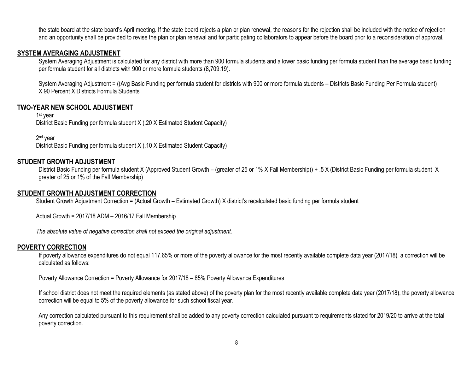the state board at the state board's April meeting. If the state board rejects a plan or plan renewal, the reasons for the rejection shall be included with the notice of rejection and an opportunity shall be provided to revise the plan or plan renewal and for participating collaborators to appear before the board prior to a reconsideration of approval.

#### **SYSTEM AVERAGING ADJUSTMENT**

System Averaging Adjustment is calculated for any district with more than 900 formula students and a lower basic funding per formula student than the average basic funding per formula student for all districts with 900 or more formula students (8,709.19).

System Averaging Adjustment = ((Avg Basic Funding per formula student for districts with 900 or more formula students – Districts Basic Funding Per Formula student) X 90 Percent X Districts Formula Students

## **TWO-YEAR NEW SCHOOL ADJUSTMENT**

1 st year District Basic Funding per formula student X (.20 X Estimated Student Capacity)

2 nd year

District Basic Funding per formula student X (.10 X Estimated Student Capacity)

#### **STUDENT GROWTH ADJUSTMENT**

District Basic Funding per formula student X (Approved Student Growth – (greater of 25 or 1% X Fall Membership)) + .5 X (District Basic Funding per formula student X greater of 25 or 1% of the Fall Membership)

#### **STUDENT GROWTH ADJUSTMENT CORRECTION**

Student Growth Adjustment Correction = (Actual Growth – Estimated Growth) X district's recalculated basic funding per formula student

Actual Growth = 2017/18 ADM – 2016/17 Fall Membership

*The absolute value of negative correction shall not exceed the original adjustment.*

#### **POVERTY CORRECTION**

If poverty allowance expenditures do not equal 117.65% or more of the poverty allowance for the most recently available complete data year (2017/18), a correction will be calculated as follows:

Poverty Allowance Correction = Poverty Allowance for 2017/18 – 85% Poverty Allowance Expenditures

If school district does not meet the required elements (as stated above) of the poverty plan for the most recently available complete data year (2017/18), the poverty allowance correction will be equal to 5% of the poverty allowance for such school fiscal year.

Any correction calculated pursuant to this requirement shall be added to any poverty correction calculated pursuant to requirements stated for 2019/20 to arrive at the total poverty correction.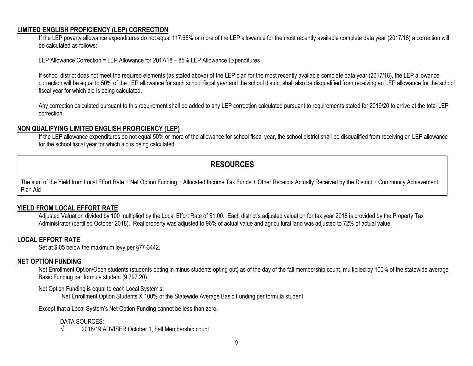#### **LIMITED ENGLISH PROFICIENCY (LEP) CORRECTION**

If the LEP poverty allowance expenditures do not equal 117.65% or more of the LEP allowance for the most recently available complete data year (2017/18) a correction will be calculated as follows:

LEP Allowance Correction = LEP Allowance for 2017/18 – 85% LEP Allowance Expenditures

If school district does not meet the required elements (as stated above) of the LEP plan for the most recently available complete data year (2017/18), the LEP allowance correction will be equal to 50% of the LEP allowance for such school fiscal year and the school district shall also be disqualified from receiving an LEP allowance for the school fiscal year for which aid is being calculated.

Any correction calculated pursuant to this requirement shall be added to any LEP correction calculated pursuant to requirements stated for 2019/20 to arrive at the total LEP correction.

## **NON QUALIFYING LIMITED ENGLISH PROFICIENCY (LEP)**

If the LEP allowance expenditures do not equal 50% or more of the allowance for school fiscal year, the school district shall be disqualified from receiving an LEP allowance for the school fiscal year for which aid is being calculated.

# **RESOURCES**

The sum of the Yield from Local Effort Rate + Net Option Funding + Allocated Income Tax Funds + Other Receipts Actually Received by the District + Community Achievement Plan Aid

# **YIELD FROM LOCAL EFFORT RATE**

Adjusted Valuation divided by 100 multiplied by the Local Effort Rate of \$1.00. Each district's adjusted valuation for tax year 2018 is provided by the Property Tax Administrator (certified October 2018). Real property was adjusted to 96% of actual value and agricultural land was adjusted to 72% of actual value.

# **LOCAL EFFORT RATE**

Set at \$.05 below the maximum levy per §77-3442.

#### **NET OPTION FUNDING**

Net Enrollment Option/Open students (students opting in minus students opting out) as of the day of the fall membership count, multiplied by 100% of the statewide average Basic Funding per formula student (9,797.20).

Net Option Funding is equal to each Local System's:

Net Enrollment Option Students X 100% of the Statewide Average Basic Funding per formula student

Except that a Local System's Net Option Funding cannot be less than zero.

#### DATA SOURCES:

√ 2018/19 ADVISER October 1, Fall Membership count.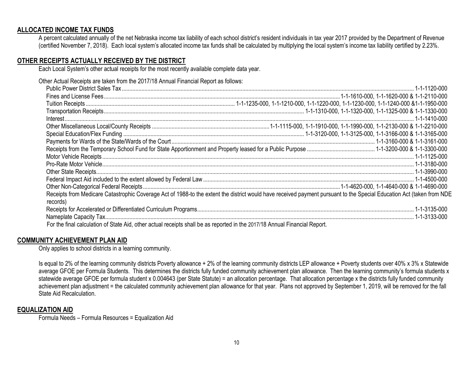#### **ALLOCATED INCOME TAX FUNDS**

A percent calculated annually of the net Nebraska income tax liability of each school district's resident individuals in tax year 2017 provided by the Department of Revenue (certified November 7, 2018). Each local system's allocated income tax funds shall be calculated by multiplying the local system's income tax liability certified by 2.23%.

#### **OTHER RECEIPTS ACTUALLY RECEIVED BY THE DISTRICT**

Each Local System's other actual receipts for the most recently available complete data year.

Other Actual Receipts are taken from the 2017/18 Annual Financial Report as follows:

| records)                                                                                                                   | Receipts from Medicare Catastrophic Coverage Act of 1988-to the extent the district would have received payment pursuant to the Special Education Act (taken from NDE |
|----------------------------------------------------------------------------------------------------------------------------|-----------------------------------------------------------------------------------------------------------------------------------------------------------------------|
|                                                                                                                            |                                                                                                                                                                       |
|                                                                                                                            |                                                                                                                                                                       |
| For the final calculation of State Aid, other actual receipts shall be as reported in the 2017/18 Annual Financial Report. |                                                                                                                                                                       |

#### **COMMUNITY ACHIEVEMENT PLAN AID**

Only applies to school districts in a learning community.

Is equal to 2% of the learning community districts Poverty allowance + 2% of the learning community districts LEP allowance + Poverty students over 40% x 3% x Statewide average GFOE per Formula Students. This determines the districts fully funded community achievement plan allowance. Then the learning community's formula students x statewide average GFOE per formula student x 0.004643 (per State Statute) = an allocation percentage. That allocation percentage x the districts fully funded community achievement plan adjustment = the calculated community achievement plan allowance for that year. Plans not approved by September 1, 2019, will be removed for the fall State Aid Recalculation.

#### **EQUALIZATION AID**

Formula Needs – Formula Resources = Equalization Aid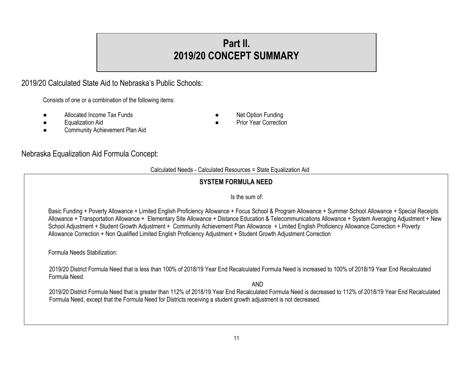# **Part II. 2019/20 CONCEPT SUMMARY**

# 2019/20 Calculated State Aid to Nebraska's Public Schools:

Consists of one or a combination of the following items:

Allocated Income Tax Funds **Allocated Income Tax Funds Allocated Income Tax Funds Allocated Income Tax** Funds

Nebraska Equalization Aid Formula Concept:

- 
- Community Achievement Plan Aid
- 
- 
- **Equalization Aid**  Prior Year Correction **■** Prior Year Correction

# Calculated Needs - Calculated Resources = State Equalization Aid

# **SYSTEM FORMULA NEED**

# Is the sum of:

Basic Funding + Poverty Allowance + Limited English Proficiency Allowance + Focus School & Program Allowance + Summer School Allowance + Special Receipts Allowance + Transportation Allowance + Elementary Site Allowance + Distance Education & Telecommunications Allowance + System Averaging Adjustment + New School Adjustment + Student Growth Adjustment + Community Achievement Plan Allowance + Limited English Proficiency Allowance Correction + Poverty Allowance Correction + Non Qualified Limited English Proficiency Adjustment + Student Growth Adjustment Correction

Formula Needs Stabilization:

2019/20 District Formula Need that is less than 100% of 2018/19 Year End Recalculated Formula Need is increased to 100% of 2018/19 Year End Recalculated Formula Need.

AND

2019/20 District Formula Need that is greater than 112% of 2018/19 Year End Recalculated Formula Need is decreased to 112% of 2018/19 Year End Recalculated Formula Need, except that the Formula Need for Districts receiving a student growth adjustment is not decreased.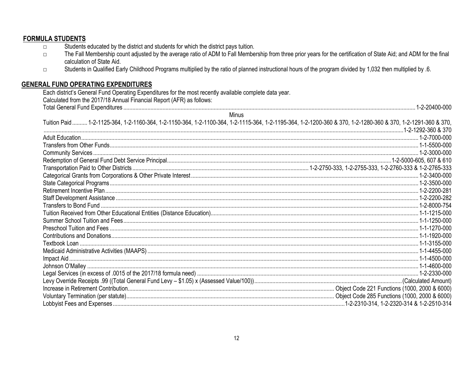#### **FORMULA STUDENTS** Students educated by the district and students for which the district pays tuition.  $\Box$ The Fall Membership count adjusted by the average ratio of ADM to Fall Membership from three prior years for the certification of State Aid; and ADM for the final  $\Box$ calculation of State Aid. Students in Qualified Early Childhood Programs multiplied by the ratio of planned instructional hours of the program divided by 1,032 then multiplied by .6.  $\Box$ **GENERAL FUND OPERATING EXPENDITURES** Each district's General Fund Operating Expenditures for the most recently available complete data year. Calculated from the 2017/18 Annual Financial Report (AFR) as follows: Minus Tuition Paid .......... 1-2-1125-364, 1-2-1160-364, 1-2-1150-364, 1-2-1100-364, 1-2-1115-364, 1-2-1195-364, 1-2-1200-360 & 370, 1-2-1280-360 & 370, 1-2-1291-360 & 370, Adult Education 2000-000-000 1-2-7000-000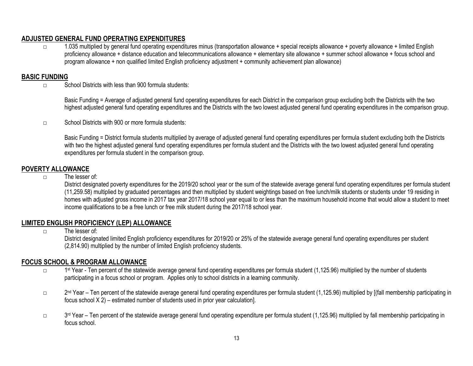# **ADJUSTED GENERAL FUND OPERATING EXPENDITURES**

□ 1.035 multiplied by general fund operating expenditures minus (transportation allowance + special receipts allowance + poverty allowance + limited English proficiency allowance + distance education and telecommunications allowance + elementary site allowance + summer school allowance + focus school and program allowance + non qualified limited English proficiency adjustment + community achievement plan allowance)

# **BASIC FUNDING**

 $\nabla$  School Districts with less than 900 formula students:

Basic Funding = Average of adjusted general fund operating expenditures for each District in the comparison group excluding both the Districts with the two highest adjusted general fund operating expenditures and the Districts with the two lowest adjusted general fund operating expenditures in the comparison group.

□ School Districts with 900 or more formula students:

Basic Funding = District formula students multiplied by average of adjusted general fund operating expenditures per formula student excluding both the Districts with two the highest adjusted general fund operating expenditures per formula student and the Districts with the two lowest adjusted general fund operating expenditures per formula student in the comparison group.

# **POVERTY ALLOWANCE**

□ The lesser of:

District designated poverty expenditures for the 2019/20 school year or the sum of the statewide average general fund operating expenditures per formula student (11,259.58) multiplied by graduated percentages and then multiplied by student weightings based on free lunch/milk students or students under 19 residing in homes with adjusted gross income in 2017 tax year 2017/18 school year equal to or less than the maximum household income that would allow a student to meet income qualifications to be a free lunch or free milk student during the 2017/18 school year.

# **LIMITED ENGLISH PROFICIENCY (LEP) ALLOWANCE**

□ The lesser of:

District designated limited English proficiency expenditures for 2019/20 or 25% of the statewide average general fund operating expenditures per student (2,814.90) multiplied by the number of limited English proficiency students.

# **FOCUS SCHOOL & PROGRAM ALLOWANCE**

- □ 1 1<sup>st</sup> Year - Ten percent of the statewide average general fund operating expenditures per formula student (1,125.96) multiplied by the number of students participating in a focus school or program. Applies only to school districts in a learning community.
- □ 2<sup>nd</sup> Year Ten percent of the statewide average general fund operating expenditures per formula student (1,125.96) multiplied by [(fall membership participating in focus school X 2) – estimated number of students used in prior year calculation].
- □ 3<sup>rd</sup> Year Ten percent of the statewide average general fund operating expenditure per formula student (1,125.96) multiplied by fall membership participating in focus school.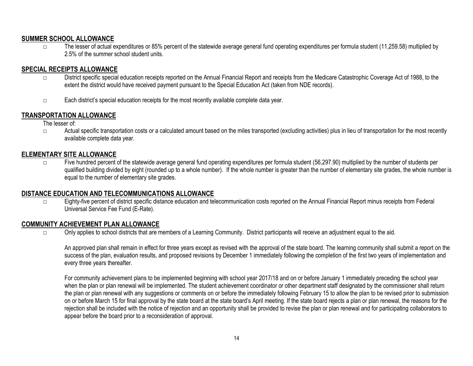# **SUMMER SCHOOL ALLOWANCE**

□ The lesser of actual expenditures or 85% percent of the statewide average general fund operating expenditures per formula student (11,259.58) multiplied by 2.5% of the summer school student units.

# **SPECIAL RECEIPTS ALLOWANCE**

- □ District specific special education receipts reported on the Annual Financial Report and receipts from the Medicare Catastrophic Coverage Act of 1988, to the extent the district would have received payment pursuant to the Special Education Act (taken from NDE records).
- □ Each district's special education receipts for the most recently available complete data year.

# **TRANSPORTATION ALLOWANCE**

The lesser of:

□ Actual specific transportation costs or a calculated amount based on the miles transported (excluding activities) plus in lieu of transportation for the most recently available complete data year.

# **ELEMENTARY SITE ALLOWANCE**

□ Five hundred percent of the statewide average general fund operating expenditures per formula student (56,297.90) multiplied by the number of students per qualified building divided by eight (rounded up to a whole number). If the whole number is greater than the number of elementary site grades, the whole number is equal to the number of elementary site grades.

# **DISTANCE EDUCATION AND TELECOMMUNICATIONS ALLOWANCE**

□ Eighty-five percent of district specific distance education and telecommunication costs reported on the Annual Financial Report minus receipts from Federal Universal Service Fee Fund (E-Rate).

# **COMMUNITY ACHIEVEMENT PLAN ALLOWANCE**

□ Only applies to school districts that are members of a Learning Community. District participants will receive an adjustment equal to the aid.

An approved plan shall remain in effect for three years except as revised with the approval of the state board. The learning community shall submit a report on the success of the plan, evaluation results, and proposed revisions by December 1 immediately following the completion of the first two years of implementation and every three years thereafter.

For community achievement plans to be implemented beginning with school year 2017/18 and on or before January 1 immediately preceding the school year when the plan or plan renewal will be implemented. The student achievement coordinator or other department staff designated by the commissioner shall return the plan or plan renewal with any suggestions or comments on or before the immediately following February 15 to allow the plan to be revised prior to submission on or before March 15 for final approval by the state board at the state board's April meeting. If the state board rejects a plan or plan renewal, the reasons for the rejection shall be included with the notice of rejection and an opportunity shall be provided to revise the plan or plan renewal and for participating collaborators to appear before the board prior to a reconsideration of approval.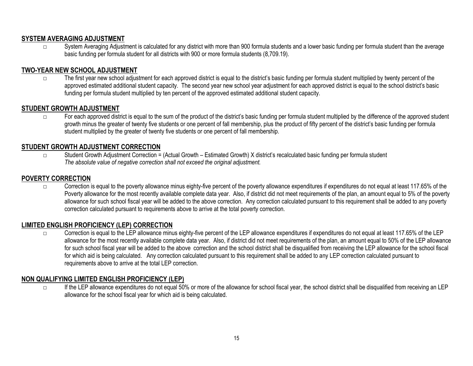# **SYSTEM AVERAGING ADJUSTMENT**

□ System Averaging Adjustment is calculated for any district with more than 900 formula students and a lower basic funding per formula student than the average basic funding per formula student for all districts with 900 or more formula students (8,709.19).

# **TWO-YEAR NEW SCHOOL ADJUSTMENT**

□ The first year new school adjustment for each approved district is equal to the district's basic funding per formula student multiplied by twenty percent of the approved estimated additional student capacity. The second year new school year adjustment for each approved district is equal to the school district's basic funding per formula student multiplied by ten percent of the approved estimated additional student capacity.

# **STUDENT GROWTH ADJUSTMENT**

□ For each approved district is equal to the sum of the product of the district's basic funding per formula student multiplied by the difference of the approved student growth minus the greater of twenty five students or one percent of fall membership, plus the product of fifty percent of the district's basic funding per formula student multiplied by the greater of twenty five students or one percent of fall membership.

# **STUDENT GROWTH ADJUSTMENT CORRECTION**

□ Student Growth Adjustment Correction = (Actual Growth – Estimated Growth) X district's recalculated basic funding per formula student *The absolute value of negative correction shall not exceed the original adjustment.*

# **POVERTY CORRECTION**

 $\square$  Correction is equal to the poverty allowance minus eighty-five percent of the poverty allowance expenditures if expenditures do not equal at least 117.65% of the Poverty allowance for the most recently available complete data year. Also, if district did not meet requirements of the plan, an amount equal to 5% of the poverty allowance for such school fiscal year will be added to the above correction. Any correction calculated pursuant to this requirement shall be added to any poverty correction calculated pursuant to requirements above to arrive at the total poverty correction.

# **LIMITED ENGLISH PROFICIENCY (LEP) CORRECTION**

□ Correction is equal to the LEP allowance minus eighty-five percent of the LEP allowance expenditures if expenditures do not equal at least 117.65% of the LEP allowance for the most recently available complete data year. Also, if district did not meet requirements of the plan, an amount equal to 50% of the LEP allowance for such school fiscal year will be added to the above correction and the school district shall be disqualified from receiving the LEP allowance for the school fiscal for which aid is being calculated. Any correction calculated pursuant to this requirement shall be added to any LEP correction calculated pursuant to requirements above to arrive at the total LEP correction.

# **NON QUALIFYING LIMITED ENGLISH PROFICIENCY (LEP)**

If the LEP allowance expenditures do not equal 50% or more of the allowance for school fiscal year, the school district shall be disqualified from receiving an LEP allowance for the school fiscal year for which aid is being calculated.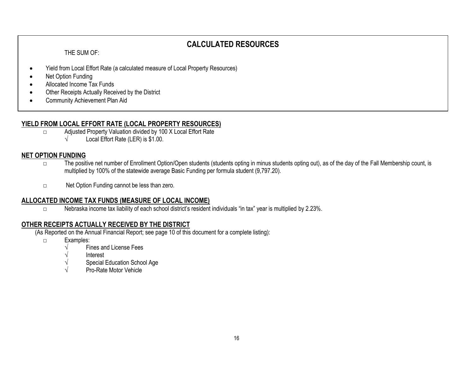# **CALCULATED RESOURCES**

THE SUM OF:

- Yield from Local Effort Rate (a calculated measure of Local Property Resources)
- Net Option Funding
- Allocated Income Tax Funds
- Other Receipts Actually Received by the District
- Community Achievement Plan Aid

# **YIELD FROM LOCAL EFFORT RATE (LOCAL PROPERTY RESOURCES)**

- □ Adjusted Property Valuation divided by 100 X Local Effort Rate
	- $\sqrt{\phantom{a}}$  Local Effort Rate (LER) is \$1.00.

# **NET OPTION FUNDING**

- □ The positive net number of Enrollment Option/Open students (students opting in minus students opting out), as of the day of the Fall Membership count, is multiplied by 100% of the statewide average Basic Funding per formula student (9,797.20).
- □ Net Option Funding cannot be less than zero.

# **ALLOCATED INCOME TAX FUNDS (MEASURE OF LOCAL INCOME)**

□ Nebraska income tax liability of each school district's resident individuals "in tax" year is multiplied by 2.23%.

# **OTHER RECEIPTS ACTUALLY RECEIVED BY THE DISTRICT**

(As Reported on the Annual Financial Report; see page 10 of this document for a complete listing):

- □ Examples:
	- $\sqrt{\phantom{a}}$  Fines and License Fees
	- √ Interest
	- Special Education School Age
	- Pro-Rate Motor Vehicle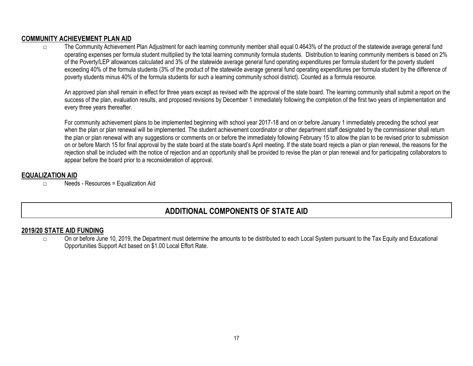# **COMMUNITY ACHIEVEMENT PLAN AID**

□ The Community Achievement Plan Adjustment for each learning community member shall equal 0.4643% of the product of the statewide average general fund operating expenses per formula student multiplied by the total learning community formula students. Distribution to leaning community members is based on 2% of the Poverty/LEP allowances calculated and 3% of the statewide average general fund operating expenditures per formula student for the poverty student exceeding 40% of the formula students (3% of the product of the statewide average general fund operating expenditures per formula student by the difference of poverty students minus 40% of the formula students for such a learning community school district). Counted as a formula resource.

An approved plan shall remain in effect for three years except as revised with the approval of the state board. The learning community shall submit a report on the success of the plan, evaluation results, and proposed revisions by December 1 immediately following the completion of the first two years of implementation and every three years thereafter.

For community achievement plans to be implemented beginning with school year 2017-18 and on or before January 1 immediately preceding the school year when the plan or plan renewal will be implemented. The student achievement coordinator or other department staff designated by the commissioner shall return the plan or plan renewal with any suggestions or comments on or before the immediately following February 15 to allow the plan to be revised prior to submission on or before March 15 for final approval by the state board at the state board's April meeting. If the state board rejects a plan or plan renewal, the reasons for the rejection shall be included with the notice of rejection and an opportunity shall be provided to revise the plan or plan renewal and for participating collaborators to appear before the board prior to a reconsideration of approval.

# **EQUALIZATION AID**

□ Needs - Resources = Equalization Aid

# **ADDITIONAL COMPONENTS OF STATE AID**

# **2019/20 STATE AID FUNDING**

□ On or before June 10, 2019, the Department must determine the amounts to be distributed to each Local System pursuant to the Tax Equity and Educational Opportunities Support Act based on \$1.00 Local Effort Rate.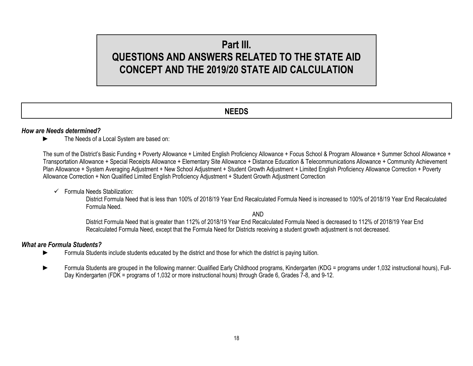# **Part III. QUESTIONS AND ANSWERS RELATED TO THE STATE AID CONCEPT AND THE 2019/20 STATE AID CALCULATION**

# **NEEDS**

#### *How are Needs determined?*

► The Needs of a Local System are based on:

The sum of the District's Basic Funding + Poverty Allowance + Limited English Proficiency Allowance + Focus School & Program Allowance + Summer School Allowance + Transportation Allowance + Special Receipts Allowance + Elementary Site Allowance + Distance Education & Telecommunications Allowance + Community Achievement Plan Allowance + System Averaging Adjustment + New School Adjustment + Student Growth Adjustment + Limited English Proficiency Allowance Correction + Poverty Allowance Correction + Non Qualified Limited English Proficiency Adjustment + Student Growth Adjustment Correction

 $\checkmark$  Formula Needs Stabilization:

District Formula Need that is less than 100% of 2018/19 Year End Recalculated Formula Need is increased to 100% of 2018/19 Year End Recalculated Formula Need.

AND

District Formula Need that is greater than 112% of 2018/19 Year End Recalculated Formula Need is decreased to 112% of 2018/19 Year End Recalculated Formula Need, except that the Formula Need for Districts receiving a student growth adjustment is not decreased.

#### *What are Formula Students?*

- ► Formula Students include students educated by the district and those for which the district is paying tuition.
- Formula Students are grouped in the following manner: Qualified Early Childhood programs, Kindergarten (KDG = programs under 1,032 instructional hours), Full-Day Kindergarten (FDK = programs of 1,032 or more instructional hours) through Grade 6, Grades 7-8, and 9-12.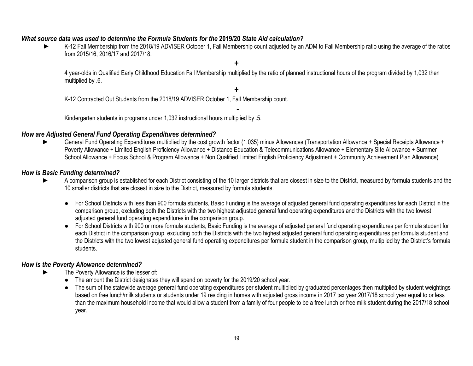## *What source data was used to determine the Formula Students for the* **2019/20** *State Aid calculation?*

► K-12 Fall Membership from the 2018/19 ADVISER October 1, Fall Membership count adjusted by an ADM to Fall Membership ratio using the average of the ratios from 2015/16, 2016/17 and 2017/18.

4 year-olds in Qualified Early Childhood Education Fall Membership multiplied by the ratio of planned instructional hours of the program divided by 1,032 then multiplied by .6.

+

-

+

K-12 Contracted Out Students from the 2018/19 ADVISER October 1, Fall Membership count.

Kindergarten students in programs under 1,032 instructional hours multiplied by .5.

## *How are Adjusted General Fund Operating Expenditures determined?*

General Fund Operating Expenditures multiplied by the cost growth factor (1.035) minus Allowances (Transportation Allowance + Special Receipts Allowance + Poverty Allowance + Limited English Proficiency Allowance + Distance Education & Telecommunications Allowance + Elementary Site Allowance + Summer School Allowance + Focus School & Program Allowance + Non Qualified Limited English Proficiency Adjustment + Community Achievement Plan Allowance)

#### *How is Basic Funding determined?*

- A comparison group is established for each District consisting of the 10 larger districts that are closest in size to the District, measured by formula students and the 10 smaller districts that are closest in size to the District, measured by formula students.
	- For School Districts with less than 900 formula students, Basic Funding is the average of adjusted general fund operating expenditures for each District in the comparison group, excluding both the Districts with the two highest adjusted general fund operating expenditures and the Districts with the two lowest adjusted general fund operating expenditures in the comparison group.
	- For School Districts with 900 or more formula students, Basic Funding is the average of adjusted general fund operating expenditures per formula student for each District in the comparison group, excluding both the Districts with the two highest adjusted general fund operating expenditures per formula student and the Districts with the two lowest adjusted general fund operating expenditures per formula student in the comparison group, multiplied by the District's formula students.

# *How is the Poverty Allowance determined?*

- The Poverty Allowance is the lesser of:
	- The amount the District designates they will spend on poverty for the 2019/20 school year.
	- The sum of the statewide average general fund operating expenditures per student multiplied by graduated percentages then multiplied by student weightings based on free lunch/milk students or students under 19 residing in homes with adjusted gross income in 2017 tax year 2017/18 school year equal to or less than the maximum household income that would allow a student from a family of four people to be a free lunch or free milk student during the 2017/18 school year.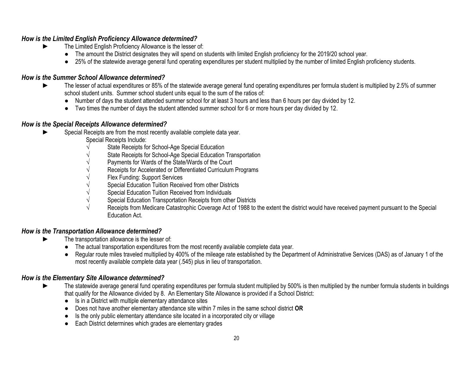# *How is the Limited English Proficiency Allowance determined?*

- ► The Limited English Proficiency Allowance is the lesser of:
	- The amount the District designates they will spend on students with limited English proficiency for the 2019/20 school year.
	- 25% of the statewide average general fund operating expenditures per student multiplied by the number of limited English proficiency students.

## *How is the Summer School Allowance determined?*

- The lesser of actual expenditures or 85% of the statewide average general fund operating expenditures per formula student is multiplied by 2.5% of summer school student units. Summer school student units equal to the sum of the ratios of:
	- Number of days the student attended summer school for at least 3 hours and less than 6 hours per day divided by 12.
	- Two times the number of days the student attended summer school for 6 or more hours per day divided by 12.

## *How is the Special Receipts Allowance determined?*

- Special Receipts are from the most recently available complete data year.
	- Special Receipts Include:
	- State Receipts for School-Age Special Education
	- State Receipts for School-Age Special Education Transportation
	- Payments for Wards of the State/Wards of the Court
	- Receipts for Accelerated or Differentiated Curriculum Programs
	- Flex Funding: Support Services
	- Special Education Tuition Received from other Districts
	- Special Education Tuition Received from Individuals
	- $\sqrt{\phantom{a}}$  Special Education Transportation Receipts from other Districts
	- Receipts from Medicare Catastrophic Coverage Act of 1988 to the extent the district would have received payment pursuant to the Special Education Act.

#### *How is the Transportation Allowance determined?*

- The transportation allowance is the lesser of:
	- The actual transportation expenditures from the most recently available complete data year.
	- Regular route miles traveled multiplied by 400% of the mileage rate established by the Department of Administrative Services (DAS) as of January 1 of the most recently available complete data year (.545) plus in lieu of transportation.

# *How is the Elementary Site Allowance determined?*

- The statewide average general fund operating expenditures per formula student multiplied by 500% is then multiplied by the number formula students in buildings that qualify for the Allowance divided by 8. An Elementary Site Allowance is provided if a School District:
	- Is in a District with multiple elementary attendance sites
	- Does not have another elementary attendance site within 7 miles in the same school district **OR**
	- Is the only public elementary attendance site located in a incorporated city or village
	- Each District determines which grades are elementary grades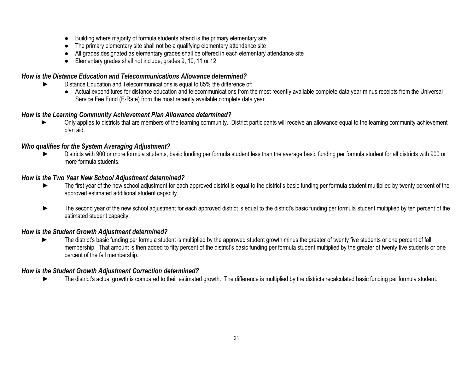- Building where majority of formula students attend is the primary elementary site
- The primary elementary site shall not be a qualifying elementary attendance site
- All grades designated as elementary grades shall be offered in each elementary attendance site
- Elementary grades shall not include, grades 9, 10, 11 or 12

# *How is the Distance Education and Telecommunications Allowance determined?*

- Distance Education and Telecommunications is equal to 85% the difference of:
	- Actual expenditures for distance education and telecommunications from the most recently available complete data year minus receipts from the Universal Service Fee Fund (E-Rate) from the most recently available complete data year.

# *How is the Learning Community Achievement Plan Allowance determined?*

Only applies to districts that are members of the learning community. District participants will receive an allowance equal to the learning community achievement plan aid.

# *Who qualifies for the System Averaging Adjustment?*

► Districts with 900 or more formula students, basic funding per formula student less than the average basic funding per formula student for all districts with 900 or more formula students.

## *How is the Two Year New School Adjustment determined?*

- ► The first year of the new school adjustment for each approved district is equal to the district's basic funding per formula student multiplied by twenty percent of the approved estimated additional student capacity.
- ► The second year of the new school adjustment for each approved district is equal to the district's basic funding per formula student multiplied by ten percent of the estimated student capacity.

#### *How is the Student Growth Adjustment determined?*

The district's basic funding per formula student is multiplied by the approved student growth minus the greater of twenty five students or one percent of fall membership. That amount is then added to fifty percent of the district's basic funding per formula student multiplied by the greater of twenty five students or one percent of the fall membership.

# *How is the Student Growth Adjustment Correction determined?*

The district's actual growth is compared to their estimated growth. The difference is multiplied by the districts recalculated basic funding per formula student.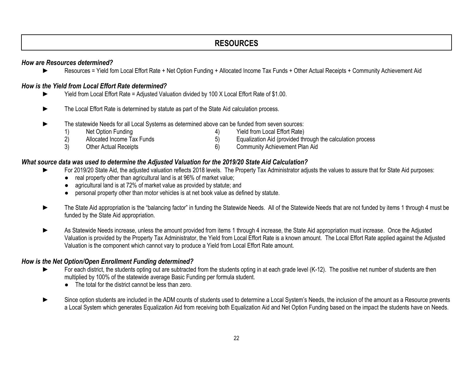# **RESOURCES**

# *How are Resources determined?*

► Resources = Yield fom Local Effort Rate + Net Option Funding + Allocated Income Tax Funds + Other Actual Receipts + Community Achievement Aid

# *How is the Yield from Local Effort Rate determined?*

- Yield from Local Effort Rate = Adjusted Valuation divided by 100 X Local Effort Rate of \$1.00.
- ► The Local Effort Rate is determined by statute as part of the State Aid calculation process.
- ► The statewide Needs for all Local Systems as determined above can be funded from seven sources:
	- 1) Net Option Funding 19 (1992) 1994 (1994) 1995 (1994) Yield from Local Effort Rate) 2) Allocated Income Tax Funds 5) Equalization Aid (provided through the calculation process
	- 3) Other Actual Receipts 6) Community Achievement Plan Aid

# *What source data was used to determine the Adjusted Valuation for the 2019/20 State Aid Calculation?*

- For 2019/20 State Aid, the adjusted valuation reflects 2018 levels. The Property Tax Administrator adjusts the values to assure that for State Aid purposes:
	- real property other than agricultural land is at 96% of market value;
	- agricultural land is at 72% of market value as provided by statute; and
	- personal property other than motor vehicles is at net book value as defined by statute.
- The State Aid appropriation is the "balancing factor" in funding the Statewide Needs. All of the Statewide Needs that are not funded by items 1 through 4 must be funded by the State Aid appropriation.
- As Statewide Needs increase, unless the amount provided from items 1 through 4 increase, the State Aid appropriation must increase. Once the Adjusted Valuation is provided by the Property Tax Administrator, the Yield from Local Effort Rate is a known amount. The Local Effort Rate applied against the Adjusted Valuation is the component which cannot vary to produce a Yield from Local Effort Rate amount.

# *How is the Net Option/Open Enrollment Funding determined?*

- For each district, the students opting out are subtracted from the students opting in at each grade level (K-12). The positive net number of students are then multiplied by 100% of the statewide average Basic Funding per formula student.
	- The total for the district cannot be less than zero.
- Since option students are included in the ADM counts of students used to determine a Local System's Needs, the inclusion of the amount as a Resource prevents a Local System which generates Equalization Aid from receiving both Equalization Aid and Net Option Funding based on the impact the students have on Needs.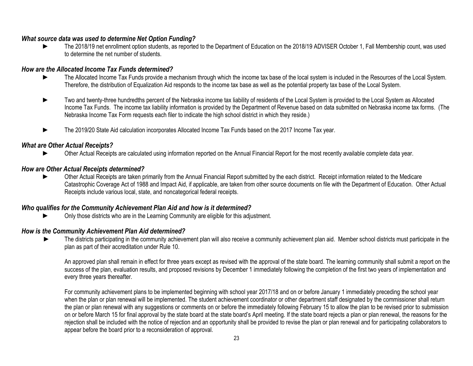## *What source data was used to determine Net Option Funding?*

The 2018/19 net enrollment option students, as reported to the Department of Education on the 2018/19 ADVISER October 1, Fall Membership count, was used to determine the net number of students.

## *How are the Allocated Income Tax Funds determined?*

- ► The Allocated Income Tax Funds provide a mechanism through which the income tax base of the local system is included in the Resources of the Local System. Therefore, the distribution of Equalization Aid responds to the income tax base as well as the potential property tax base of the Local System.
- Two and twenty-three hundredths percent of the Nebraska income tax liability of residents of the Local System is provided to the Local System as Allocated Income Tax Funds. The income tax liability information is provided by the Department of Revenue based on data submitted on Nebraska income tax forms. (The Nebraska Income Tax Form requests each filer to indicate the high school district in which they reside.)
- ► The 2019/20 State Aid calculation incorporates Allocated Income Tax Funds based on the 2017 Income Tax year.

## *What are Other Actual Receipts?*

Other Actual Receipts are calculated using information reported on the Annual Financial Report for the most recently available complete data year.

## *How are Other Actual Receipts determined?*

Other Actual Receipts are taken primarily from the Annual Financial Report submitted by the each district. Receipt information related to the Medicare Catastrophic Coverage Act of 1988 and Impact Aid, if applicable, are taken from other source documents on file with the Department of Education. Other Actual Receipts include various local, state, and noncategorical federal receipts.

#### *Who qualifies for the Community Achievement Plan Aid and how is it determined?*

Only those districts who are in the Learning Community are eligible for this adjustment.

#### *How is the Community Achievement Plan Aid determined?*

The districts participating in the community achievement plan will also receive a community achievement plan aid. Member school districts must participate in the plan as part of their accreditation under Rule 10.

An approved plan shall remain in effect for three years except as revised with the approval of the state board. The learning community shall submit a report on the success of the plan, evaluation results, and proposed revisions by December 1 immediately following the completion of the first two years of implementation and every three years thereafter.

For community achievement plans to be implemented beginning with school year 2017/18 and on or before January 1 immediately preceding the school year when the plan or plan renewal will be implemented. The student achievement coordinator or other department staff designated by the commissioner shall return the plan or plan renewal with any suggestions or comments on or before the immediately following February 15 to allow the plan to be revised prior to submission on or before March 15 for final approval by the state board at the state board's April meeting. If the state board rejects a plan or plan renewal, the reasons for the rejection shall be included with the notice of rejection and an opportunity shall be provided to revise the plan or plan renewal and for participating collaborators to appear before the board prior to a reconsideration of approval.